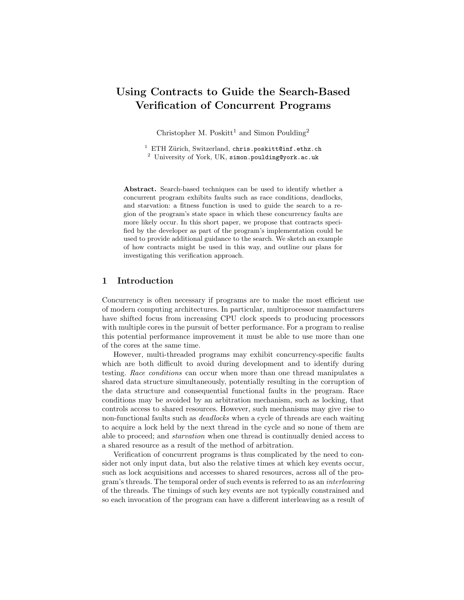# Using Contracts to Guide the Search-Based Verification of Concurrent Programs

Christopher M. Poskitt<sup>1</sup> and Simon Poulding<sup>2</sup>

 $1$  ETH Zürich, Switzerland, chris.poskitt@inf.ethz.ch <sup>2</sup> University of York, UK, simon.poulding@york.ac.uk

Abstract. Search-based techniques can be used to identify whether a concurrent program exhibits faults such as race conditions, deadlocks, and starvation: a fitness function is used to guide the search to a region of the program's state space in which these concurrency faults are more likely occur. In this short paper, we propose that contracts specified by the developer as part of the program's implementation could be used to provide additional guidance to the search. We sketch an example of how contracts might be used in this way, and outline our plans for investigating this verification approach.

### 1 Introduction

Concurrency is often necessary if programs are to make the most efficient use of modern computing architectures. In particular, multiprocessor manufacturers have shifted focus from increasing CPU clock speeds to producing processors with multiple cores in the pursuit of better performance. For a program to realise this potential performance improvement it must be able to use more than one of the cores at the same time.

However, multi-threaded programs may exhibit concurrency-specific faults which are both difficult to avoid during development and to identify during testing. Race conditions can occur when more than one thread manipulates a shared data structure simultaneously, potentially resulting in the corruption of the data structure and consequential functional faults in the program. Race conditions may be avoided by an arbitration mechanism, such as locking, that controls access to shared resources. However, such mechanisms may give rise to non-functional faults such as deadlocks when a cycle of threads are each waiting to acquire a lock held by the next thread in the cycle and so none of them are able to proceed; and starvation when one thread is continually denied access to a shared resource as a result of the method of arbitration.

Verification of concurrent programs is thus complicated by the need to consider not only input data, but also the relative times at which key events occur, such as lock acquisitions and accesses to shared resources, across all of the program's threads. The temporal order of such events is referred to as an interleaving of the threads. The timings of such key events are not typically constrained and so each invocation of the program can have a different interleaving as a result of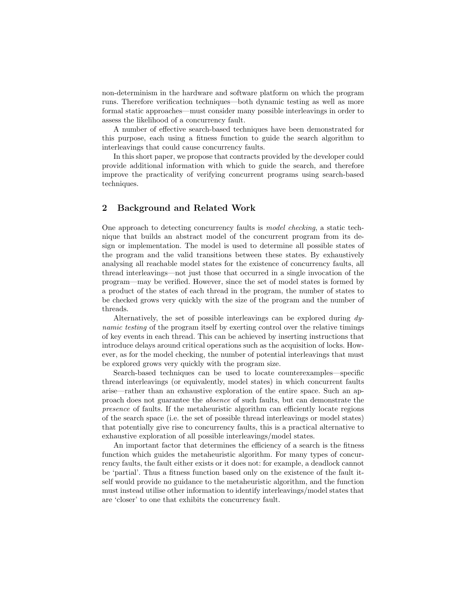non-determinism in the hardware and software platform on which the program runs. Therefore verification techniques—both dynamic testing as well as more formal static approaches—must consider many possible interleavings in order to assess the likelihood of a concurrency fault.

A number of effective search-based techniques have been demonstrated for this purpose, each using a fitness function to guide the search algorithm to interleavings that could cause concurrency faults.

In this short paper, we propose that contracts provided by the developer could provide additional information with which to guide the search, and therefore improve the practicality of verifying concurrent programs using search-based techniques.

# 2 Background and Related Work

One approach to detecting concurrency faults is model checking, a static technique that builds an abstract model of the concurrent program from its design or implementation. The model is used to determine all possible states of the program and the valid transitions between these states. By exhaustively analysing all reachable model states for the existence of concurrency faults, all thread interleavings—not just those that occurred in a single invocation of the program—may be verified. However, since the set of model states is formed by a product of the states of each thread in the program, the number of states to be checked grows very quickly with the size of the program and the number of threads.

Alternatively, the set of possible interleavings can be explored during dynamic testing of the program itself by exerting control over the relative timings of key events in each thread. This can be achieved by inserting instructions that introduce delays around critical operations such as the acquisition of locks. However, as for the model checking, the number of potential interleavings that must be explored grows very quickly with the program size.

Search-based techniques can be used to locate counterexamples—specific thread interleavings (or equivalently, model states) in which concurrent faults arise—rather than an exhaustive exploration of the entire space. Such an approach does not guarantee the absence of such faults, but can demonstrate the presence of faults. If the metaheuristic algorithm can efficiently locate regions of the search space (i.e. the set of possible thread interleavings or model states) that potentially give rise to concurrency faults, this is a practical alternative to exhaustive exploration of all possible interleavings/model states.

An important factor that determines the efficiency of a search is the fitness function which guides the metaheuristic algorithm. For many types of concurrency faults, the fault either exists or it does not: for example, a deadlock cannot be 'partial'. Thus a fitness function based only on the existence of the fault itself would provide no guidance to the metaheuristic algorithm, and the function must instead utilise other information to identify interleavings/model states that are 'closer' to one that exhibits the concurrency fault.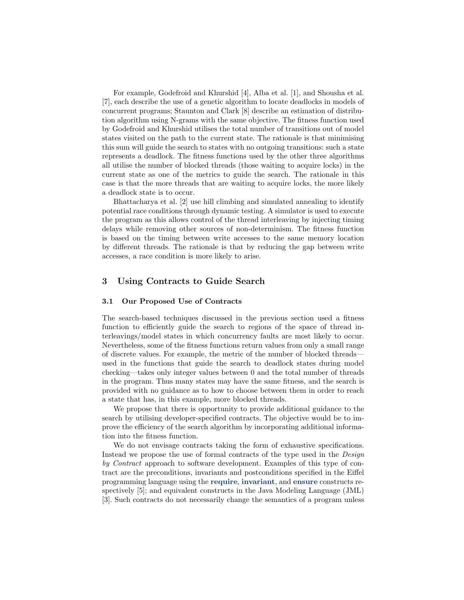For example, Godefroid and Khurshid [4], Alba et al. [1], and Shousha et al. [7], each describe the use of a genetic algorithm to locate deadlocks in models of concurrent programs; Staunton and Clark [8] describe an estimation of distribution algorithm using N-grams with the same objective. The fitness function used by Godefroid and Khurshid utilises the total number of transitions out of model states visited on the path to the current state. The rationale is that minimising this sum will guide the search to states with no outgoing transitions: such a state represents a deadlock. The fitness functions used by the other three algorithms all utilise the number of blocked threads (those waiting to acquire locks) in the current state as one of the metrics to guide the search. The rationale in this case is that the more threads that are waiting to acquire locks, the more likely a deadlock state is to occur.

Bhattacharya et al. [2] use hill climbing and simulated annealing to identify potential race conditions through dynamic testing. A simulator is used to execute the program as this allows control of the thread interleaving by injecting timing delays while removing other sources of non-determinism. The fitness function is based on the timing between write accesses to the same memory location by different threads. The rationale is that by reducing the gap between write accesses, a race condition is more likely to arise.

## 3 Using Contracts to Guide Search

#### 3.1 Our Proposed Use of Contracts

The search-based techniques discussed in the previous section used a fitness function to efficiently guide the search to regions of the space of thread interleavings/model states in which concurrency faults are most likely to occur. Nevertheless, some of the fitness functions return values from only a small range of discrete values. For example, the metric of the number of blocked threads used in the functions that guide the search to deadlock states during model checking—takes only integer values between 0 and the total number of threads in the program. Thus many states may have the same fitness, and the search is provided with no guidance as to how to choose between them in order to reach a state that has, in this example, more blocked threads.

We propose that there is opportunity to provide additional guidance to the search by utilising developer-specified contracts. The objective would be to improve the efficiency of the search algorithm by incorporating additional information into the fitness function.

We do not envisage contracts taking the form of exhaustive specifications. Instead we propose the use of formal contracts of the type used in the Design by Contract approach to software development. Examples of this type of contract are the preconditions, invariants and postconditions specified in the Eiffel programming language using the require, invariant, and ensure constructs respectively [5]; and equivalent constructs in the Java Modeling Language (JML) [3]. Such contracts do not necessarily change the semantics of a program unless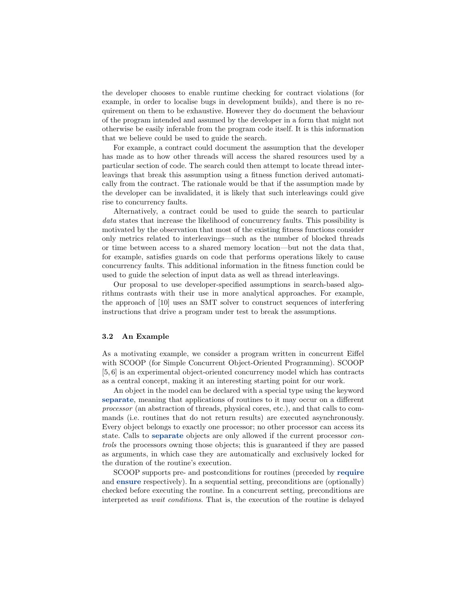the developer chooses to enable runtime checking for contract violations (for example, in order to localise bugs in development builds), and there is no requirement on them to be exhaustive. However they do document the behaviour of the program intended and assumed by the developer in a form that might not otherwise be easily inferable from the program code itself. It is this information that we believe could be used to guide the search.

For example, a contract could document the assumption that the developer has made as to how other threads will access the shared resources used by a particular section of code. The search could then attempt to locate thread interleavings that break this assumption using a fitness function derived automatically from the contract. The rationale would be that if the assumption made by the developer can be invalidated, it is likely that such interleavings could give rise to concurrency faults.

Alternatively, a contract could be used to guide the search to particular data states that increase the likelihood of concurrency faults. This possibility is motivated by the observation that most of the existing fitness functions consider only metrics related to interleavings—such as the number of blocked threads or time between access to a shared memory location—but not the data that, for example, satisfies guards on code that performs operations likely to cause concurrency faults. This additional information in the fitness function could be used to guide the selection of input data as well as thread interleavings.

Our proposal to use developer-specified assumptions in search-based algorithms contrasts with their use in more analytical approaches. For example, the approach of [10] uses an SMT solver to construct sequences of interfering instructions that drive a program under test to break the assumptions.

#### 3.2 An Example

As a motivating example, we consider a program written in concurrent Eiffel with SCOOP (for Simple Concurrent Object-Oriented Programming). SCOOP [5, 6] is an experimental object-oriented concurrency model which has contracts as a central concept, making it an interesting starting point for our work.

An object in the model can be declared with a special type using the keyword separate, meaning that applications of routines to it may occur on a different processor (an abstraction of threads, physical cores, etc.), and that calls to commands (i.e. routines that do not return results) are executed asynchronously. Every object belongs to exactly one processor; no other processor can access its state. Calls to separate objects are only allowed if the current processor controls the processors owning those objects; this is guaranteed if they are passed as arguments, in which case they are automatically and exclusively locked for the duration of the routine's execution.

SCOOP supports pre- and postconditions for routines (preceded by require and ensure respectively). In a sequential setting, preconditions are (optionally) checked before executing the routine. In a concurrent setting, preconditions are interpreted as wait conditions. That is, the execution of the routine is delayed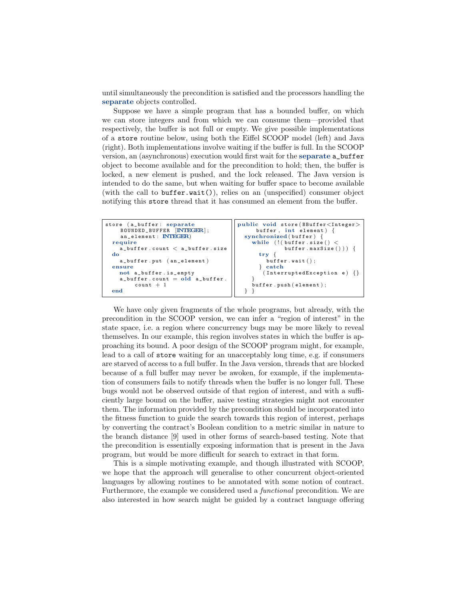until simultaneously the precondition is satisfied and the processors handling the separate objects controlled.

Suppose we have a simple program that has a bounded buffer, on which we can store integers and from which we can consume them—provided that respectively, the buffer is not full or empty. We give possible implementations of a store routine below, using both the Eiffel SCOOP model (left) and Java (right). Both implementations involve waiting if the buffer is full. In the SCOOP version, an (asynchronous) execution would first wait for the separate a\_buffer object to become available and for the precondition to hold; then, the buffer is locked, a new element is pushed, and the lock released. The Java version is intended to do the same, but when waiting for buffer space to become available (with the call to  $\text{buffer}.\text{wait}()$ ), relies on an (unspecified) consumer object notifying this store thread that it has consumed an element from the buffer.

```
store (a_buffer: separate
  BOUNDED_BUFFER [INTEGER];
  an element : INTEGER)
require
  a _buffer . count \langle a _buffer . size
do
  a_buffer.put (an_element)
ensure
  not a buffer. is empty
  a_buffer.count = old a_buffer
       count + 1end
                                          public void store (BBuffer<Integer>
                                               buffer, int element) {
                                            synchronized (buffer) {
                                              while (!( buffer .size() <
                                                         buffer \, maxSize()) {
                                                 try {
                                                   \overrightarrow{buffer} \cdot \overrightarrow{wait}();
                                                 } catch
                                                  (InterruotedException e) \{}
                                              buffer.push (element);
                                            } }
```
We have only given fragments of the whole programs, but already, with the precondition in the SCOOP version, we can infer a "region of interest" in the state space, i.e. a region where concurrency bugs may be more likely to reveal themselves. In our example, this region involves states in which the buffer is approaching its bound. A poor design of the SCOOP program might, for example, lead to a call of store waiting for an unacceptably long time, e.g. if consumers are starved of access to a full buffer. In the Java version, threads that are blocked because of a full buffer may never be awoken, for example, if the implementation of consumers fails to notify threads when the buffer is no longer full. These bugs would not be observed outside of that region of interest, and with a sufficiently large bound on the buffer, naive testing strategies might not encounter them. The information provided by the precondition should be incorporated into the fitness function to guide the search towards this region of interest, perhaps by converting the contract's Boolean condition to a metric similar in nature to the branch distance [9] used in other forms of search-based testing. Note that the precondition is essentially exposing information that is present in the Java program, but would be more difficult for search to extract in that form.

This is a simple motivating example, and though illustrated with SCOOP, we hope that the approach will generalise to other concurrent object-oriented languages by allowing routines to be annotated with some notion of contract. Furthermore, the example we considered used a functional precondition. We are also interested in how search might be guided by a contract language offering